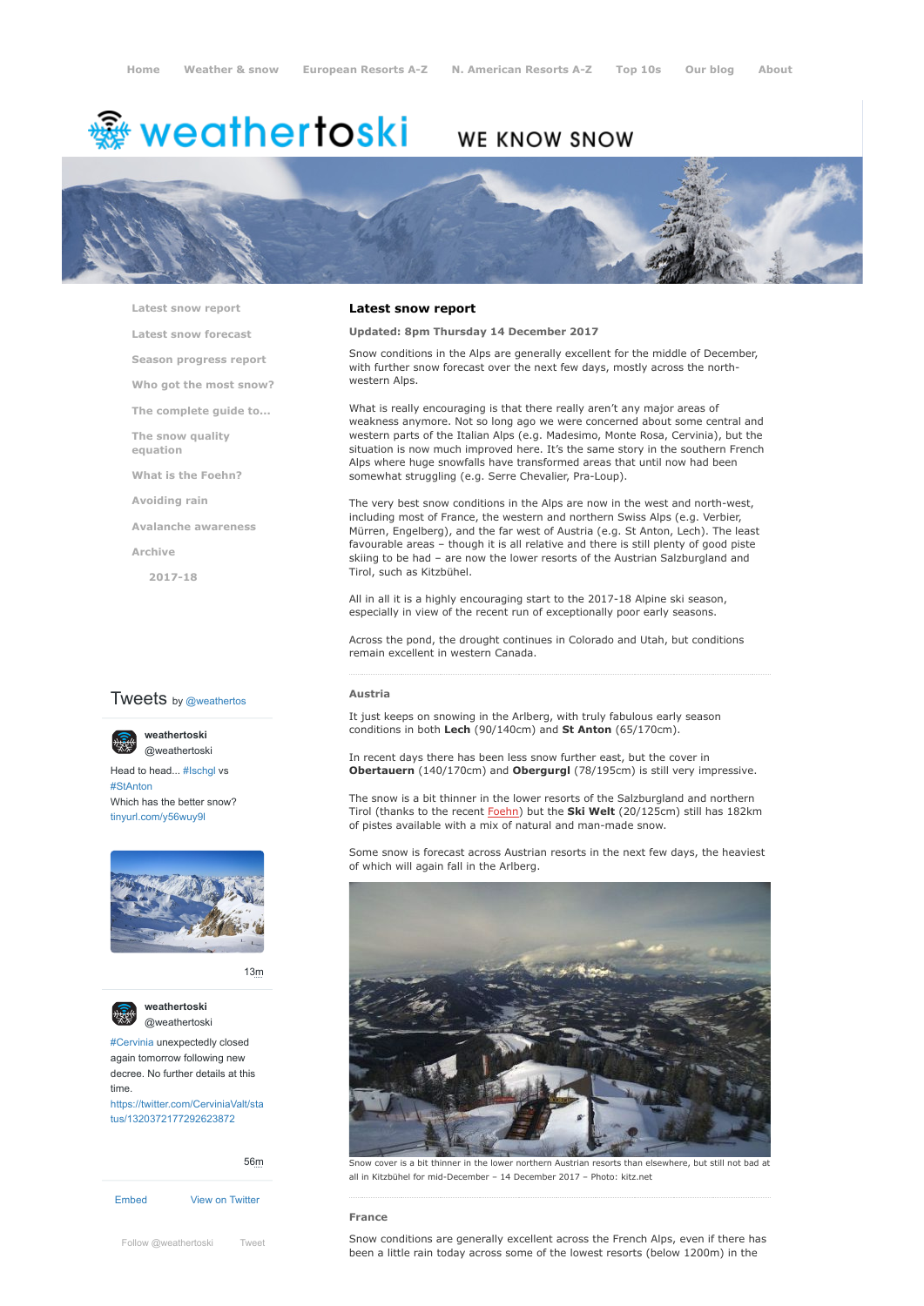# <del>▒</del> weathertoski

## WE KNOW SNOW



**[Latest snow report](https://www.weathertoski.co.uk/weather-snow/latest-snow-report/)**

**[Latest snow forecast](https://www.weathertoski.co.uk/weather-snow/latest-snow-forecast/)**

**[Season progress report](https://www.weathertoski.co.uk/weather-snow/season-progress-report/)**

**[Who got the most snow?](https://www.weathertoski.co.uk/weather-snow/who-got-the-most-snow/)**

**[The complete guide to...](https://www.weathertoski.co.uk/weather-snow/the-complete-guide-to/)**

**[The snow quality](https://www.weathertoski.co.uk/weather-snow/the-snow-quality-equation/)**

**[What is the Foehn?](https://www.weathertoski.co.uk/weather-snow/what-is-the-foehn/)**

**[Avoiding rain](https://www.weathertoski.co.uk/weather-snow/avoiding-rain/)**

**[Avalanche awareness](https://www.weathertoski.co.uk/weather-snow/avalanche-awareness/)**

**[Archive](https://www.weathertoski.co.uk/weather-snow/archive/)**

**equation**

**[2017-18](https://www.weathertoski.co.uk/weather-snow/archive/2017-18/)**

#### **Tweets** by @weathertos

**weathertoski** [@weathertoski](https://twitter.com/weathertoski)



Head to head... [#Ischgl](https://twitter.com/hashtag/Ischgl?src=hash) vs [#StAnton](https://twitter.com/hashtag/StAnton?src=hash) Which has the better snow?

[tinyurl.com/y56wuy9l](https://t.co/AeKkyB0N9S)



[13m](https://twitter.com/weathertoski/status/1320387692862050304)



**weathertoski** [@weathertoski](https://twitter.com/weathertoski)

[#Cervinia](https://twitter.com/hashtag/Cervinia?src=hash) unexpectedly closed again tomorrow following new decree. No further details at this time. [https://twitter.com/CerviniaValt/sta](https://twitter.com/CerviniaValt/status/1320372177292623872)

tus/1320372177292623872

[Embed](https://publish.twitter.com/?url=https%3A%2F%2Ftwitter.com%2Fweathertoski) [View on Twitter](https://twitter.com/weathertoski) [56m](https://twitter.com/weathertoski/status/1320376647305093126) [Follow @weathertoski](https://twitter.com/intent/follow?original_referer=https%3A%2F%2Fwww.weathertoski.co.uk%2F&ref_src=twsrc%5Etfw®ion=follow_link&screen_name=weathertoski&tw_p=followbutton) [Tweet](https://twitter.com/intent/tweet?original_referer=https%3A%2F%2Fwww.weathertoski.co.uk%2F&ref_src=twsrc%5Etfw&text=Weather%20to%20ski%20-%20Snow%20report%20-%2014%20December%202017&tw_p=tweetbutton&url=https%3A%2F%2Fwww.weathertoski.co.uk%2Fweather-snow%2Farchive%2Fsnow-report-14-december-2017%2F)

#### **Latest snow report**

#### **Updated: 8pm Thursday 14 December 2017**

Snow conditions in the Alps are generally excellent for the middle of December, with further snow forecast over the next few days, mostly across the northwestern Alps.

What is really encouraging is that there really aren't any major areas of weakness anymore. Not so long ago we were concerned about some central and western parts of the Italian Alps (e.g. Madesimo, Monte Rosa, Cervinia), but the situation is now much improved here. It's the same story in the southern French Alps where huge snowfalls have transformed areas that until now had been somewhat struggling (e.g. Serre Chevalier, Pra-Loup).

The very best snow conditions in the Alps are now in the west and north-west, including most of France, the western and northern Swiss Alps (e.g. Verbier, Mürren, Engelberg), and the far west of Austria (e.g. St Anton, Lech). The least favourable areas – though it is all relative and there is still plenty of good piste skiing to be had – are now the lower resorts of the Austrian Salzburgland and Tirol, such as Kitzbühel.

All in all it is a highly encouraging start to the 2017-18 Alpine ski season, especially in view of the recent run of exceptionally poor early seasons.

Across the pond, the drought continues in Colorado and Utah, but conditions remain excellent in western Canada.

**Austria**

It just keeps on snowing in the Arlberg, with truly fabulous early season conditions in both **Lech** (90/140cm) and **St Anton** (65/170cm).

In recent days there has been less snow further east, but the cover in **Obertauern** (140/170cm) and **Obergurgl** (78/195cm) is still very impressive.

The snow is a bit thinner in the lower resorts of the Salzburgland and northern Tirol (thanks to the recent [Foehn](https://www.weathertoski.co.uk/weather-snow/what-is-the-foehn/)) but the **Ski Welt** (20/125cm) still has 182km of pistes available with a mix of natural and man-made snow.

Some snow is forecast across Austrian resorts in the next few days, the heaviest of which will again fall in the Arlberg.



Snow cover is a bit thinner in the lower northern Austrian resorts than elsewhere, but still not bad at all in Kitzbühel for mid-December – 14 December 2017 – Photo: kitz.net

#### **France**

Snow conditions are generally excellent across the French Alps, even if there has been a little rain today across some of the lowest resorts (below 1200m) in the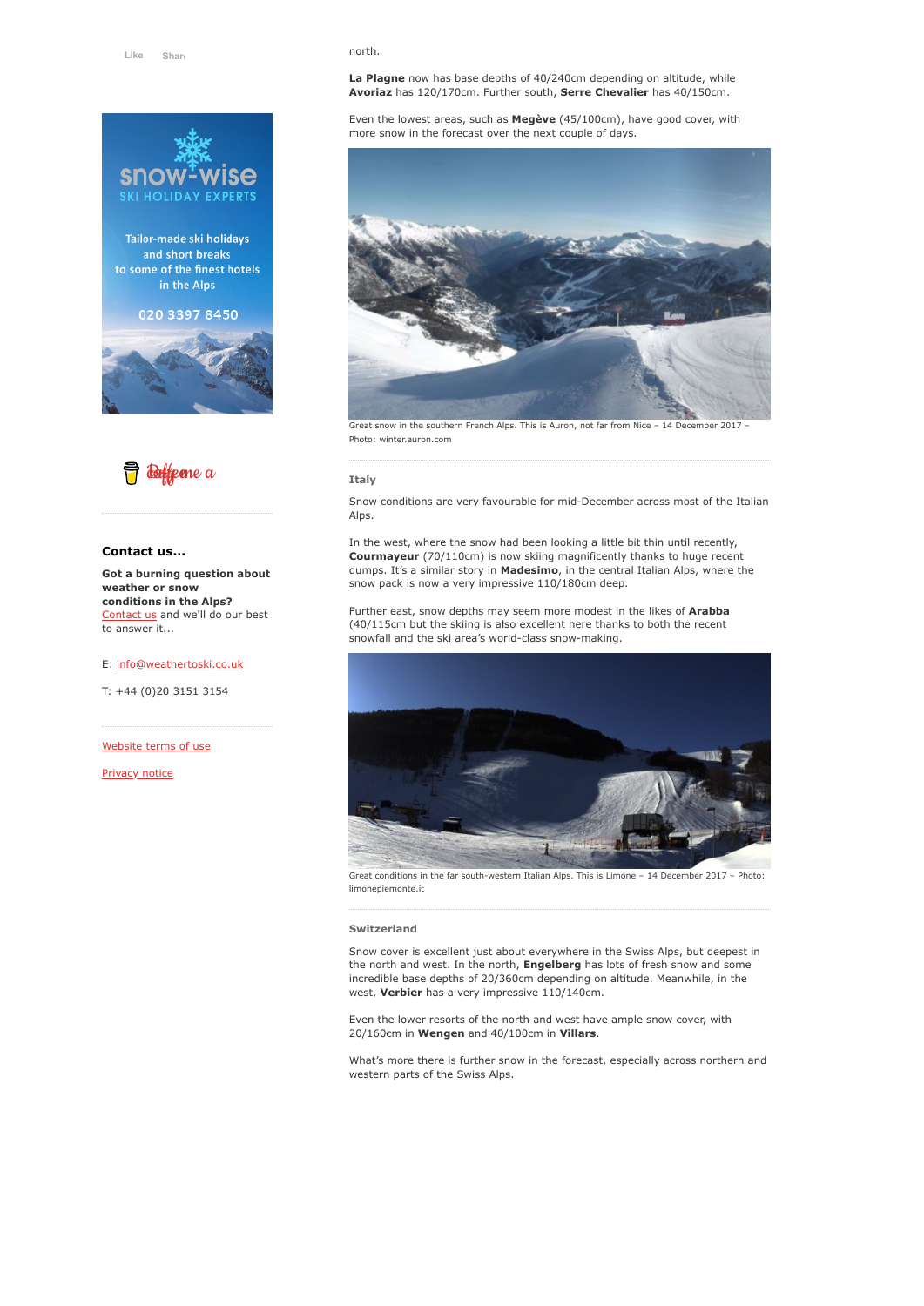

Tailor-made ski holidays and short breaks to some of the finest hotels in the Alps

### 020 3397 8450





#### **Contact us...**

**Got a burning question about weather or snow conditions in the Alps?** [Contact us](https://www.weathertoski.co.uk/about-1/contact-us/) and we'll do our best to answer it...

#### E: [info@weathertoski.co.uk](mailto:fraser@weathertoski.co.uk)

T: +44 (0)20 3151 3154

[Website terms of use](https://www.weathertoski.co.uk/about-1/website-terms-of-use/)

[Privacy notice](https://www.weathertoski.co.uk/about-1/privacy-notice/)

#### north.

**La Plagne** now has base depths of 40/240cm depending on altitude, while **Avoriaz** has 120/170cm. Further south, **Serre Chevalier** has 40/150cm.

Even the lowest areas, such as **Megève** (45/100cm), have good cover, with more snow in the forecast over the next couple of days.



Great snow in the southern French Alps. This is Auron, not far from Nice – 14 December 2017 – Photo: winter.auron.com

#### **Italy**

Snow conditions are very favourable for mid-December across most of the Italian Alps.

In the west, where the snow had been looking a little bit thin until recently, **Courmayeur** (70/110cm) is now skiing magnificently thanks to huge recent dumps. It's a similar story in **Madesimo**, in the central Italian Alps, where the snow pack is now a very impressive 110/180cm deep.

Further east, snow depths may seem more modest in the likes of **Arabba** (40/115cm but the skiing is also excellent here thanks to both the recent snowfall and the ski area's world-class snow-making.



Great conditions in the far south-western Italian Alps. This is Limone – 14 December 2017 – Photo: limonepiemonte.it

#### **Switzerland**

Snow cover is excellent just about everywhere in the Swiss Alps, but deepest in the north and west. In the north, **Engelberg** has lots of fresh snow and some incredible base depths of 20/360cm depending on altitude. Meanwhile, in the west, **Verbier** has a very impressive 110/140cm.

Even the lower resorts of the north and west have ample snow cover, with 20/160cm in **Wengen** and 40/100cm in **Villars**.

What's more there is further snow in the forecast, especially across northern and western parts of the Swiss Alps.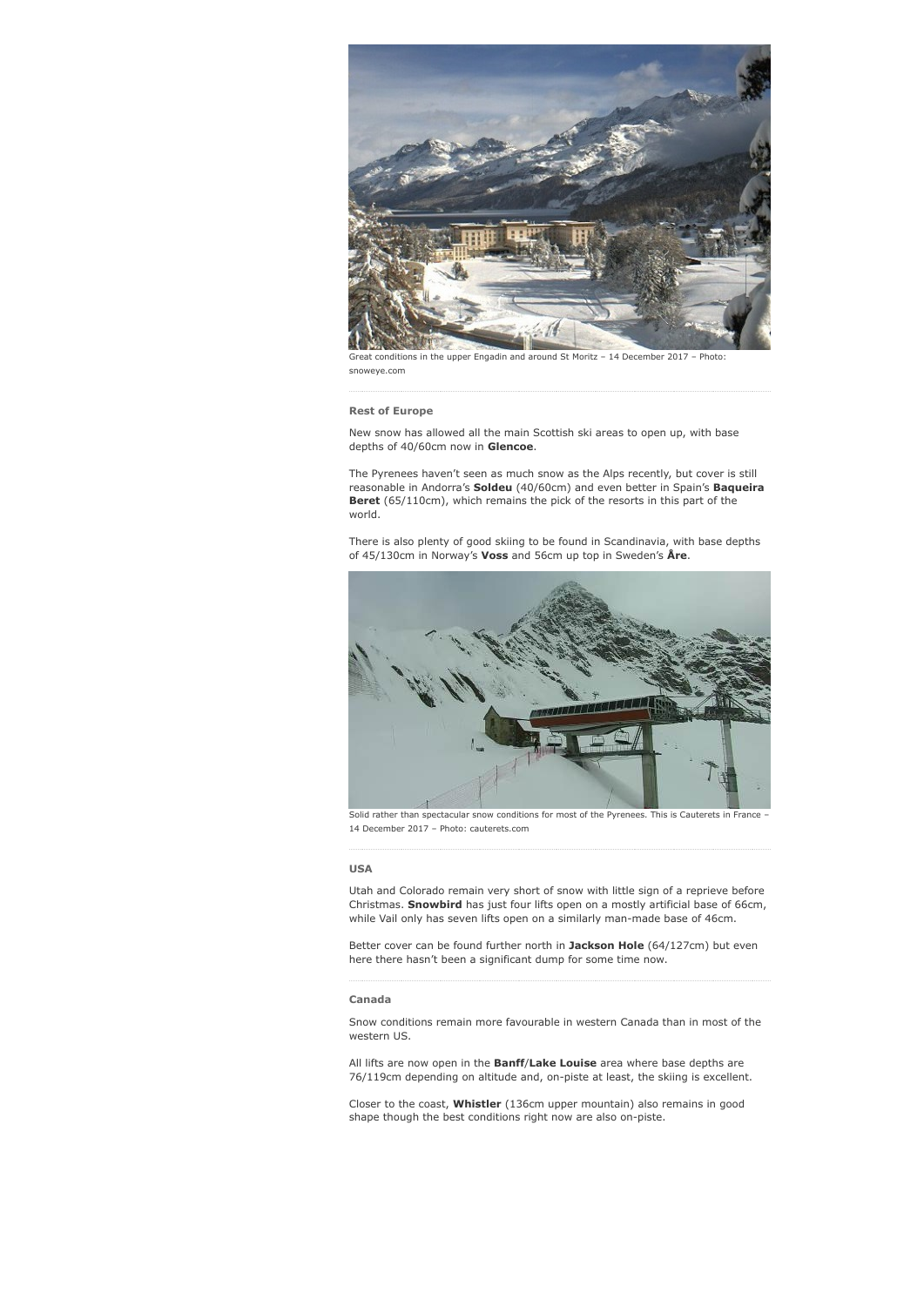

Great conditions in the upper Engadin and around St Moritz – 14 December 2017 – Photo: snoweye.com

#### **Rest of Europe**

New snow has allowed all the main Scottish ski areas to open up, with base depths of 40/60cm now in **Glencoe**.

The Pyrenees haven't seen as much snow as the Alps recently, but cover is still reasonable in Andorra's **Soldeu** (40/60cm) and even better in Spain's **Baqueira Beret** (65/110cm), which remains the pick of the resorts in this part of the world.

There is also plenty of good skiing to be found in Scandinavia, with base depths of 45/130cm in Norway's **Voss** and 56cm up top in Sweden's **Åre**.



Solid rather than spectacular snow conditions for most of the Pyrenees. This is Cauterets in France – 14 December 2017 – Photo: cauterets.com

#### **USA**

Utah and Colorado remain very short of snow with little sign of a reprieve before Christmas. **Snowbird** has just four lifts open on a mostly artificial base of 66cm, while Vail only has seven lifts open on a similarly man-made base of 46cm.

Better cover can be found further north in **Jackson Hole** (64/127cm) but even here there hasn't been a significant dump for some time now.

#### **Canada**

Snow conditions remain more favourable in western Canada than in most of the western US.

All lifts are now open in the **Banff**/**Lake Louise** area where base depths are 76/119cm depending on altitude and, on-piste at least, the skiing is excellent.

Closer to the coast, **Whistler** (136cm upper mountain) also remains in good shape though the best conditions right now are also on-piste.